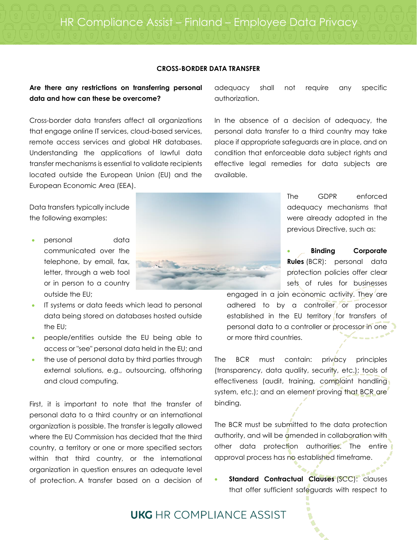### **CROSS-BORDER DATA TRANSFER**

### **Are there any restrictions on transferring personal data and how can these be overcome?**

Cross-border data transfers affect all organizations that engage online IT services, cloud-based services, remote access services and global HR databases. Understanding the applications of lawful data transfer mechanisms is essential to validate recipients located outside the European Union (EU) and the European Economic Area (EEA).

Data transfers typically include the following examples:

- personal data communicated over the telephone, by email, fax, letter, through a web tool or in person to a country outside the EU;
- IT systems or data feeds which lead to personal data being stored on databases hosted outside the EU;
- people/entities outside the EU being able to access or "see" personal data held in the EU; and
- the use of personal data by third parties through external solutions, e.g., outsourcing, offshoring and cloud computing.

First, it is important to note that the transfer of personal data to a third country or an international organization is possible. The transfer is legally allowed where the EU Commission has decided that the third country, a territory or one or more specified sectors within that third country, or the international organization in question ensures an adequate level of protection. A transfer based on a decision of



adequacy shall not require any specific authorization.

In the absence of a decision of adequacy, the personal data transfer to a third country may take place if appropriate safeguards are in place, and on condition that enforceable data subject rights and effective legal remedies for data subjects are available.

> The GDPR enforced adequacy mechanisms that were already adopted in the previous Directive, such as:

> • **Binding Corporate Rules** (BCR): personal data protection policies offer clear sets of rules for businesses

engaged in a join economic activity. They are adhered to by a controller or processor established in the EU territory for transfers of personal data to a controller or processor in one or more third countries.

The BCR must contain: privacy principles (transparency, data quality, security, etc.); tools of effectiveness (audit, training, complaint handling system, etc.); and an element proving that BCR are binding.

The BCR must be submitted to the data protection authority, and will be amended in collaboration with other data protection authorities. The entire approval process has no established timeframe.

**Standard Contractual Clauses (SCC):** clauses that offer sufficient safeguards with respect to

## **UKG** HR COMPI IANCE ASSIST